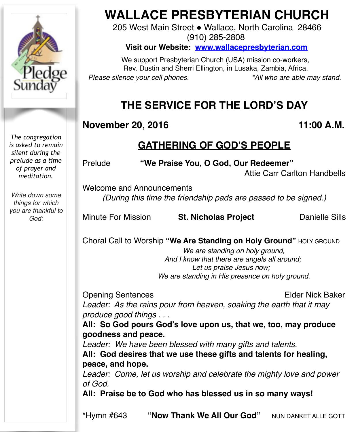

# **WALLACE PRESBYTERIAN CHURCH**

205 West Main Street . Wallace, North Carolina 28466 (910) 285-2808

**Visit our Website: [www.wallacepresbyterian.com](http://www.wallacepresbyterian.com)**

 We support Presbyterian Church (USA) mission co-workers, Rev. Dustin and Sherri Ellington, in Lusaka, Zambia, Africa. *Please silence your cell phones. \*All who are able may stand.*

# **THE SERVICE FOR THE LORD'S DAY**

# **November 20, 2016 11:00 A.M.**

# **GATHERING OF GOD'S PEOPLE**

Prelude **"We Praise You, O God, Our Redeemer"**

Attie Carr Carlton Handbells

Welcome and Announcements *(During this time the friendship pads are passed to be signed.)*

Minute For Mission **St. Nicholas Project** Danielle Sills

Choral Call to Worship **"We Are Standing on Holy Ground"** HOLY GROUND

 *We are standing on holy ground, And I know that there are angels all around; Let us praise Jesus now; We are standing in His presence on holy ground.*

Opening Sentences **Elder Nick Baker** 

*Leader: As the rains pour from heaven, soaking the earth that it may produce good things . . .*

**All: So God pours God's love upon us, that we, too, may produce goodness and peace.**

*Leader: We have been blessed with many gifts and talents.* **All: God desires that we use these gifts and talents for healing, peace, and hope.**

*Leader: Come, let us worship and celebrate the mighty love and power of God.*

**All: Praise be to God who has blessed us in so many ways!**

\*Hymn #643 **"Now Thank We All Our God"** NUN DANKET ALLE GOTT

*is asked to remain silent during the prelude as a time of prayer and meditation.*

*The congregation* 

*Write down some things for which you are thankful to God:*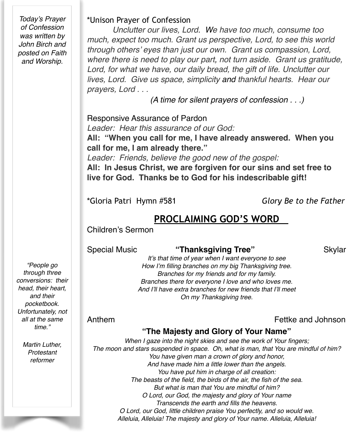*Today's Prayer of Confession was written by John Birch and posted on Faith and Worship.*

#### \*Unison Prayer of Confession

*Unclutter our lives, Lord. We have too much, consume too much, expect too much. Grant us perspective, Lord, to see this world through others' eyes than just our own. Grant us compassion, Lord, where there is need to play our part, not turn aside. Grant us gratitude, Lord, for what we have, our daily bread, the gift of life. Unclutter our lives, Lord. Give us space, simplicity and thankful hearts. Hear our prayers, Lord . . .*

 *(A time for silent prayers of confession . . .)*

Responsive Assurance of Pardon

*Leader: Hear this assurance of our God:*

**All: "When you call for me, I have already answered. When you call for me, I am already there."**

*Leader: Friends, believe the good new of the gospel:*

**All: In Jesus Christ, we are forgiven for our sins and set free to live for God. Thanks be to God for his indescribable gift!**

\*Gloria Patri Hymn #581 *Glory Be to the Father*

# **PROCLAIMING GOD'S WORD**

Children's Sermon

#### Special Music **"Thanksgiving Tree"** Skylar

*"People go through three conversions: their head, their heart, and their pocketbook. Unfortunately, not all at the same time."*

> *Martin Luther, Protestant reformer*

*It's that time of year when I want everyone to see How I'm filling branches on my big Thanksgiving tree. Branches for my friends and for my family. Branches there for everyone I love and who loves me. And I'll have extra branches for new friends that I'll meet On my Thanksgiving tree.*

Anthem Fettke and Johnson

### **"The Majesty and Glory of Your Name"**

*When I gaze into the night skies and see the work of Your fingers; The moon and stars suspended in space. Oh, what is man, that You are mindful of him? You have given man a crown of glory and honor, And have made him a little lower than the angels. You have put him in charge of all creation: The beasts of the field, the birds of the air, the fish of the sea. But what is man that You are mindful of him? O Lord, our God, the majesty and glory of Your name Transcends the earth and fills the heavens. O Lord, our God, little children praise You perfectly, and so would we. Alleluia, Alleluia! The majesty and glory of Your name. Alleluia, Alleluia!*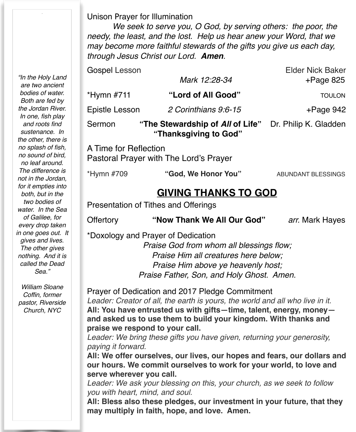Unison Prayer for Illumination

*We seek to serve you, O God, by serving others: the poor, the needy, the least, and the lost. Help us hear anew your Word, that we may become more faithful stewards of the gifts you give us each day, through Jesus Christ our Lord. Amen.*

| Sermon         | "The Stewardship of All of Life"<br>"Thanksgiving to God" | Dr. Philip K. Gladden   |
|----------------|-----------------------------------------------------------|-------------------------|
| Epistle Lesson | 2 Corinthians 9:6-15                                      | $+$ Page 942            |
| $*Hymn$ #711   | "Lord of All Good"                                        | <b>TOULON</b>           |
|                | Mark 12:28-34                                             | $+$ Page 825            |
| Gospel Lesson  |                                                           | <b>Elder Nick Baker</b> |

A Time for Reflection Pastoral Prayer with The Lord's Prayer

| *Hymn #709 | "God, We Honor You" | ABUNDANT BLESSINGS |
|------------|---------------------|--------------------|
|------------|---------------------|--------------------|

# **GIVING THANKS TO GOD**

Presentation of Tithes and Offerings

Offertory **"Now Thank We All Our God"** *arr.* Mark Hayes

\*Doxology and Prayer of Dedication

*Praise God from whom all blessings flow; Praise Him all creatures here below; Praise Him above ye heavenly host; Praise Father, Son, and Holy Ghost. Amen.*

Prayer of Dedication and 2017 Pledge Commitment *Leader: Creator of all, the earth is yours, the world and all who live in it.* **All: You have entrusted us with gifts—time, talent, energy, money and asked us to use them to build your kingdom. With thanks and praise we respond to your call.**

*Leader: We bring these gifts you have given, returning your generosity, paying it forward.*

**All: We offer ourselves, our lives, our hopes and fears, our dollars and our hours. We commit ourselves to work for your world, to love and serve wherever you call.**

*Leader: We ask your blessing on this, your church, as we seek to follow you with heart, mind, and soul.*

**All: Bless also these pledges, our investment in your future, that they may multiply in faith, hope, and love. Amen.**

*"In the Holy Land are two ancient bodies of water. Both are fed by the Jordan River. In one, fish play and roots find sustenance. In the other, there is no splash of fish, no sound of bird, no leaf around. The difference is not in the Jordan, for it empties into both, but in the two bodies of water. In the Sea of Galilee, for every drop taken in one goes out. It gives and lives. The other gives nothing. And it is called the Dead Sea."*

*William Sloane Coffin, former pastor, Riverside Church, NYC*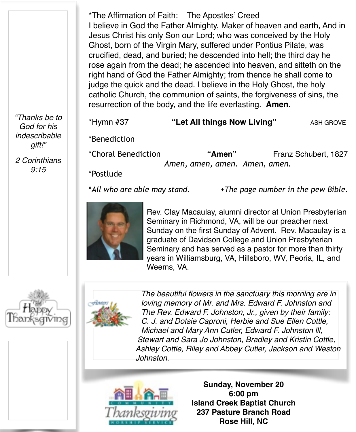\*The Affirmation of Faith: The Apostles' Creed I believe in God the Father Almighty, Maker of heaven and earth, And in Jesus Christ his only Son our Lord; who was conceived by the Holy Ghost, born of the Virgin Mary, suffered under Pontius Pilate, was crucified, dead, and buried; he descended into hell; the third day he rose again from the dead; he ascended into heaven, and sitteth on the right hand of God the Father Almighty; from thence he shall come to judge the quick and the dead. I believe in the Holy Ghost, the holy catholic Church, the communion of saints, the forgiveness of sins, the resurrection of the body, and the life everlasting. **Amen.**

*"Thanks be to God for his indescribable gift!"*

*2 Corinthians 9:15*

\*Hymn #37 **"Let All things Now Living"** ASH GROVE

\*Benediction

\*Choral Benediction **"Amen"** Franz Schubert, 1827 *Amen, amen, amen. Amen, amen.*

\*Postlude

\**All who are able may stand.* +*The page number in the pew Bible.* 



Rev. Clay Macaulay, alumni director at Union Presbyterian Seminary in Richmond, VA, will be our preacher next Sunday on the first Sunday of Advent. Rev. Macaulay is a graduate of Davidson College and Union Presbyterian Seminary and has served as a pastor for more than thirty years in Williamsburg, VA, Hillsboro, WV, Peoria, IL, and Weems, VA.





*The beautiful flowers in the sanctuary this morning are in loving memory of Mr. and Mrs. Edward F. Johnston and The Rev. Edward F. Johnston, Jr., given by their family: C. J. and Dotsie Caproni, Herbie and Sue Ellen Cottle, Michael and Mary Ann Cutler, Edward F. Johnston lll, Stewart and Sara Jo Johnston, Bradley and Kristin Cottle, Ashley Cottle, Riley and Abbey Cutler, Jackson and Weston Johnston.*



**Sunday, November 20 6:00 pm Island Creek Baptist Church 237 Pasture Branch Road Rose Hill, NC**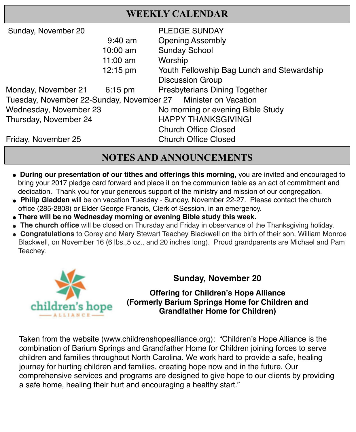## **WEEKLY CALENDAR**

|                                                               | <b>PLEDGE SUNDAY</b>                       |  |  |
|---------------------------------------------------------------|--------------------------------------------|--|--|
| $9:40$ am                                                     | <b>Opening Assembly</b>                    |  |  |
| 10:00 am                                                      | <b>Sunday School</b>                       |  |  |
| $11:00$ am                                                    | Worship                                    |  |  |
| $12:15 \text{ pm}$                                            | Youth Fellowship Bag Lunch and Stewardship |  |  |
|                                                               | <b>Discussion Group</b>                    |  |  |
| $6:15 \text{ pm}$                                             | <b>Presbyterians Dining Together</b>       |  |  |
| Tuesday, November 22-Sunday, November 27 Minister on Vacation |                                            |  |  |
| Wednesday, November 23                                        | No morning or evening Bible Study          |  |  |
|                                                               | <b>HAPPY THANKSGIVING!</b>                 |  |  |
|                                                               | <b>Church Office Closed</b>                |  |  |
|                                                               | <b>Church Office Closed</b>                |  |  |
|                                                               |                                            |  |  |

# **NOTES AND ANNOUNCEMENTS**

- " **During our presentation of our tithes and offerings this morning,** you are invited and encouraged to bring your 2017 pledge card forward and place it on the communion table as an act of commitment and dedication. Thank you for your generous support of the ministry and mission of our congregation.
- " **Philip Gladden** will be on vacation Tuesday Sunday, November 22-27. Please contact the church office (285-2808) or Elder George Francis, Clerk of Session, in an emergency.
- **" There will be no Wednesday morning or evening Bible study this week.**
- **The church office** will be closed on Thursday and Friday in observance of the Thanksgiving holiday.
- " **Congratulations** to Corey and Mary Stewart Teachey Blackwell on the birth of their son, William Monroe Blackwell, on November 16 (6 lbs.,5 oz., and 20 inches long). Proud grandparents are Michael and Pam Teachey.



## **Sunday, November 20**

**Offering for Children's Hope Alliance (Formerly Barium Springs Home for Children and Grandfather Home for Children)**

Taken from the website [\(www.childrenshopealliance.org](http://www.childrenshopealliance.org)): "Children's Hope Alliance is the combination of Barium Springs and Grandfather Home for Children joining forces to serve children and families throughout North Carolina. We work hard to provide a safe, healing journey for hurting children and families, creating hope now and in the future. Our comprehensive services and programs are designed to give hope to our clients by providing a safe home, healing their hurt and encouraging a healthy start."